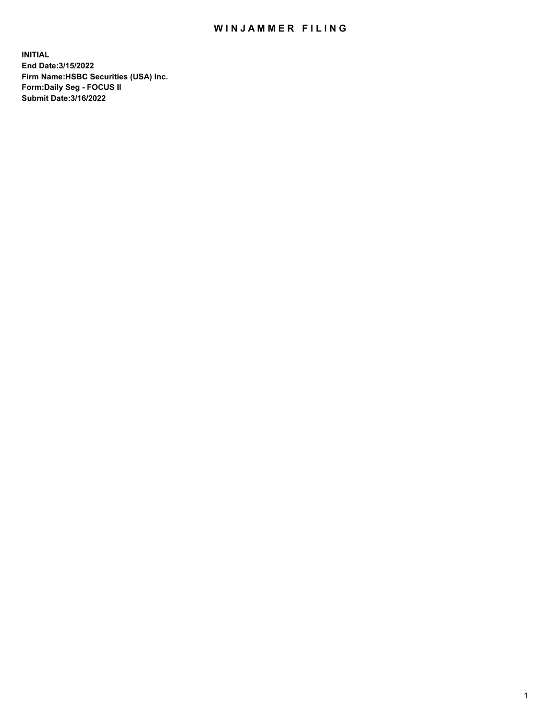## WIN JAMMER FILING

**INITIAL End Date:3/15/2022 Firm Name:HSBC Securities (USA) Inc. Form:Daily Seg - FOCUS II Submit Date:3/16/2022**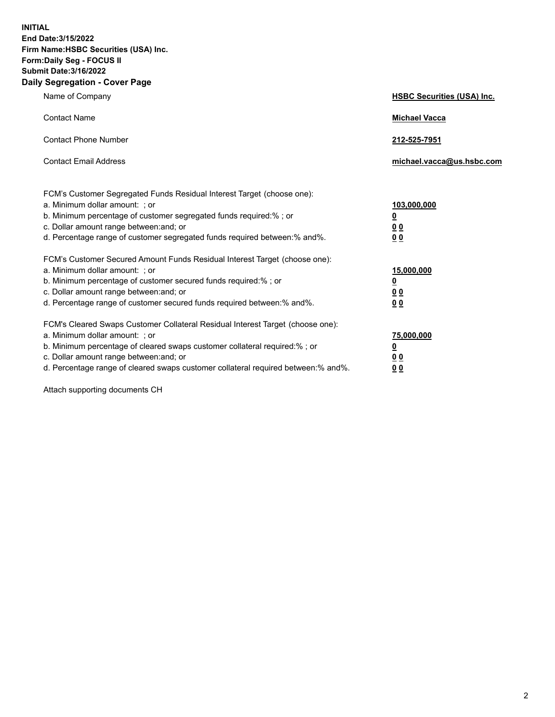**INITIAL End Date:3/15/2022 Firm Name:HSBC Securities (USA) Inc. Form:Daily Seg - FOCUS II Submit Date:3/16/2022 Daily Segregation - Cover Page**

| Name of Company                                                                                                                                                                                                                                                                                                               | <b>HSBC Securities (USA) Inc.</b>                           |
|-------------------------------------------------------------------------------------------------------------------------------------------------------------------------------------------------------------------------------------------------------------------------------------------------------------------------------|-------------------------------------------------------------|
| <b>Contact Name</b>                                                                                                                                                                                                                                                                                                           | <b>Michael Vacca</b>                                        |
| <b>Contact Phone Number</b>                                                                                                                                                                                                                                                                                                   | 212-525-7951                                                |
| <b>Contact Email Address</b>                                                                                                                                                                                                                                                                                                  | michael.vacca@us.hsbc.com                                   |
| FCM's Customer Segregated Funds Residual Interest Target (choose one):<br>a. Minimum dollar amount: ; or<br>b. Minimum percentage of customer segregated funds required:% ; or<br>c. Dollar amount range between: and; or<br>d. Percentage range of customer segregated funds required between:% and%.                        | 103,000,000<br><u>0</u><br>0 <sub>0</sub><br>0 <sub>0</sub> |
| FCM's Customer Secured Amount Funds Residual Interest Target (choose one):<br>a. Minimum dollar amount: ; or<br>b. Minimum percentage of customer secured funds required:%; or<br>c. Dollar amount range between: and; or<br>d. Percentage range of customer secured funds required between: % and %.                         | 15,000,000<br><u>0</u><br>0 <sub>0</sub><br>0 <sub>0</sub>  |
| FCM's Cleared Swaps Customer Collateral Residual Interest Target (choose one):<br>a. Minimum dollar amount: : or<br>b. Minimum percentage of cleared swaps customer collateral required:%; or<br>c. Dollar amount range between: and; or<br>d. Percentage range of cleared swaps customer collateral required between:% and%. | 75,000,000<br><u>0</u><br>00<br>00                          |

Attach supporting documents CH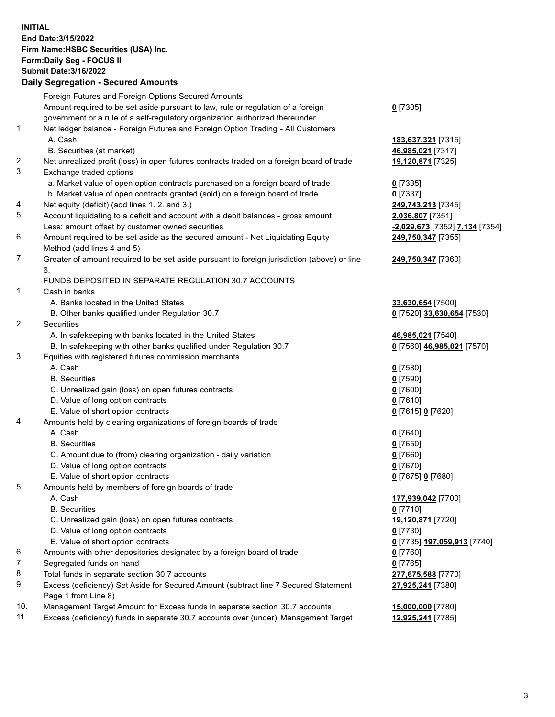**INITIAL End Date:3/15/2022 Firm Name:HSBC Securities (USA) Inc. Form:Daily Seg - FOCUS II Submit Date:3/16/2022 Daily Segregation - Secured Amounts**

|     | Foreign Futures and Foreign Options Secured Amounts                                         |                                |
|-----|---------------------------------------------------------------------------------------------|--------------------------------|
|     | Amount required to be set aside pursuant to law, rule or regulation of a foreign            | $0$ [7305]                     |
|     | government or a rule of a self-regulatory organization authorized thereunder                |                                |
| 1.  | Net ledger balance - Foreign Futures and Foreign Option Trading - All Customers             |                                |
|     | A. Cash                                                                                     | 183,637,321 [7315]             |
|     | B. Securities (at market)                                                                   | 46,985,021 [7317]              |
| 2.  | Net unrealized profit (loss) in open futures contracts traded on a foreign board of trade   | 19,120,871 [7325]              |
| 3.  | Exchange traded options                                                                     |                                |
|     | a. Market value of open option contracts purchased on a foreign board of trade              | $0$ [7335]                     |
|     | b. Market value of open contracts granted (sold) on a foreign board of trade                | $0$ [7337]                     |
| 4.  | Net equity (deficit) (add lines 1. 2. and 3.)                                               | 249,743,213 [7345]             |
| 5.  | Account liquidating to a deficit and account with a debit balances - gross amount           | 2,036,807 [7351]               |
|     | Less: amount offset by customer owned securities                                            | -2,029,673 [7352] 7,134 [7354] |
| 6.  | Amount required to be set aside as the secured amount - Net Liquidating Equity              | 249,750,347 [7355]             |
|     | Method (add lines 4 and 5)                                                                  |                                |
| 7.  | Greater of amount required to be set aside pursuant to foreign jurisdiction (above) or line | 249,750,347 [7360]             |
|     | 6.<br>FUNDS DEPOSITED IN SEPARATE REGULATION 30.7 ACCOUNTS                                  |                                |
| 1.  | Cash in banks                                                                               |                                |
|     | A. Banks located in the United States                                                       | 33,630,654 [7500]              |
|     | B. Other banks qualified under Regulation 30.7                                              | 0 [7520] 33,630,654 [7530]     |
| 2.  | <b>Securities</b>                                                                           |                                |
|     | A. In safekeeping with banks located in the United States                                   | 46,985,021 [7540]              |
|     | B. In safekeeping with other banks qualified under Regulation 30.7                          | 0 [7560] 46,985,021 [7570]     |
| 3.  | Equities with registered futures commission merchants                                       |                                |
|     | A. Cash                                                                                     | $0$ [7580]                     |
|     | <b>B.</b> Securities                                                                        | $0$ [7590]                     |
|     | C. Unrealized gain (loss) on open futures contracts                                         | $0$ [7600]                     |
|     | D. Value of long option contracts                                                           | $0$ [7610]                     |
|     | E. Value of short option contracts                                                          | 0 [7615] 0 [7620]              |
| 4.  | Amounts held by clearing organizations of foreign boards of trade                           |                                |
|     | A. Cash                                                                                     | $0$ [7640]                     |
|     | <b>B.</b> Securities                                                                        | $0$ [7650]                     |
|     | C. Amount due to (from) clearing organization - daily variation                             | $0$ [7660]                     |
|     | D. Value of long option contracts                                                           | $0$ [7670]                     |
|     | E. Value of short option contracts                                                          | 0 [7675] 0 [7680]              |
| 5.  | Amounts held by members of foreign boards of trade                                          |                                |
|     | A. Cash                                                                                     | 177,939,042 [7700]             |
|     | <b>B.</b> Securities                                                                        | $0$ [7710]                     |
|     | C. Unrealized gain (loss) on open futures contracts                                         | 19,120,871 [7720]              |
|     | D. Value of long option contracts                                                           | $0$ [7730]                     |
|     | E. Value of short option contracts                                                          | 0 [7735] 197,059,913 [7740]    |
| 6.  | Amounts with other depositories designated by a foreign board of trade                      | $0$ [7760]                     |
| 7.  | Segregated funds on hand                                                                    | $0$ [7765]                     |
| 8.  | Total funds in separate section 30.7 accounts                                               | 277,675,588 [7770]             |
| 9.  | Excess (deficiency) Set Aside for Secured Amount (subtract line 7 Secured Statement         | 27,925,241 [7380]              |
|     | Page 1 from Line 8)                                                                         |                                |
| 10. | Management Target Amount for Excess funds in separate section 30.7 accounts                 | 15,000,000 [7780]              |
| 11. | Excess (deficiency) funds in separate 30.7 accounts over (under) Management Target          | 12,925,241 [7785]              |
|     |                                                                                             |                                |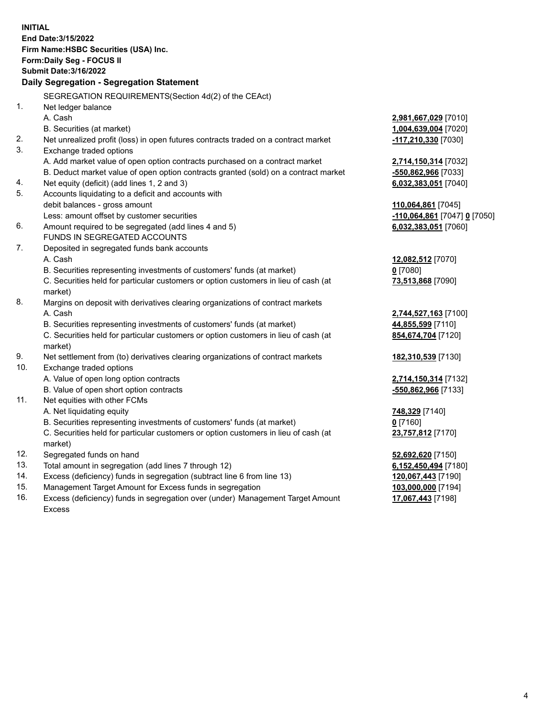**INITIAL End Date:3/15/2022 Firm Name:HSBC Securities (USA) Inc. Form:Daily Seg - FOCUS II Submit Date:3/16/2022 Daily Segregation - Segregation Statement** SEGREGATION REQUIREMENTS(Section 4d(2) of the CEAct) 1. Net ledger balance A. Cash **2,981,667,029** [7010] B. Securities (at market) **1,004,639,004** [7020] 2. Net unrealized profit (loss) in open futures contracts traded on a contract market **-117,210,330** [7030] 3. Exchange traded options A. Add market value of open option contracts purchased on a contract market **2,714,150,314** [7032] B. Deduct market value of open option contracts granted (sold) on a contract market **-550,862,966** [7033] 4. Net equity (deficit) (add lines 1, 2 and 3) **6,032,383,051** [7040] 5. Accounts liquidating to a deficit and accounts with debit balances - gross amount **110,064,861** [7045] Less: amount offset by customer securities **-110,064,861** [7047] **0** [7050] 6. Amount required to be segregated (add lines 4 and 5) **6,032,383,051** [7060] FUNDS IN SEGREGATED ACCOUNTS 7. Deposited in segregated funds bank accounts A. Cash **12,082,512** [7070] B. Securities representing investments of customers' funds (at market) **0** [7080] C. Securities held for particular customers or option customers in lieu of cash (at market) **73,513,868** [7090] 8. Margins on deposit with derivatives clearing organizations of contract markets A. Cash **2,744,527,163** [7100] B. Securities representing investments of customers' funds (at market) **44,855,599** [7110] C. Securities held for particular customers or option customers in lieu of cash (at market) **854,674,704** [7120] 9. Net settlement from (to) derivatives clearing organizations of contract markets **182,310,539** [7130] 10. Exchange traded options A. Value of open long option contracts **2,714,150,314** [7132] B. Value of open short option contracts **-550,862,966** [7133] 11. Net equities with other FCMs A. Net liquidating equity **748,329** [7140] B. Securities representing investments of customers' funds (at market) **0** [7160] C. Securities held for particular customers or option customers in lieu of cash (at market) **23,757,812** [7170] 12. Segregated funds on hand **52,692,620** [7150] 13. Total amount in segregation (add lines 7 through 12) **6,152,450,494** [7180] 14. Excess (deficiency) funds in segregation (subtract line 6 from line 13) **120,067,443** [7190] 15. Management Target Amount for Excess funds in segregation **103,000,000** [7194] 16. Excess (deficiency) funds in segregation over (under) Management Target Amount **17,067,443** [7198]

Excess